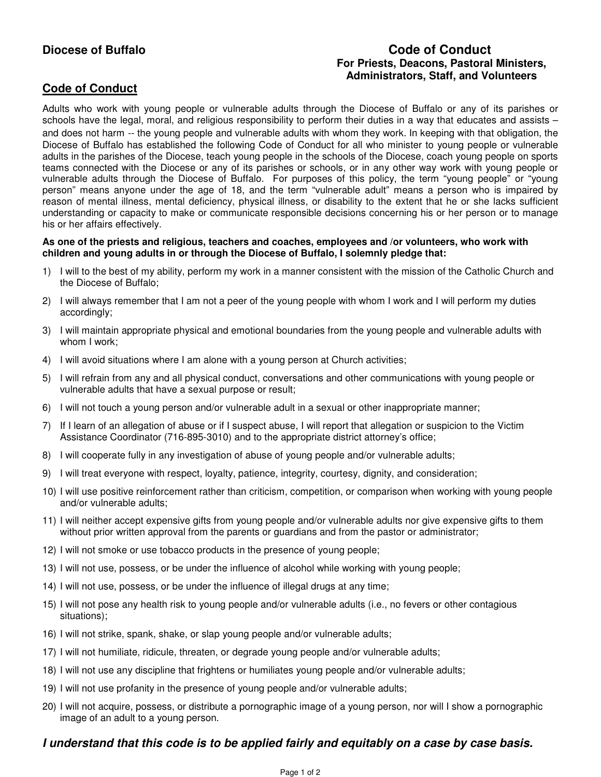## **Diocese of Buffalo Code of Conduct For Priests, Deacons, Pastoral Ministers, Administrators, Staff, and Volunteers**

# **Code of Conduct**

Adults who work with young people or vulnerable adults through the Diocese of Buffalo or any of its parishes or schools have the legal, moral, and religious responsibility to perform their duties in a way that educates and assists – and does not harm -- the young people and vulnerable adults with whom they work. In keeping with that obligation, the Diocese of Buffalo has established the following Code of Conduct for all who minister to young people or vulnerable adults in the parishes of the Diocese, teach young people in the schools of the Diocese, coach young people on sports teams connected with the Diocese or any of its parishes or schools, or in any other way work with young people or vulnerable adults through the Diocese of Buffalo. For purposes of this policy, the term "young people" or "young person" means anyone under the age of 18, and the term "vulnerable adult" means a person who is impaired by reason of mental illness, mental deficiency, physical illness, or disability to the extent that he or she lacks sufficient understanding or capacity to make or communicate responsible decisions concerning his or her person or to manage his or her affairs effectively.

#### **As one of the priests and religious, teachers and coaches, employees and /or volunteers, who work with children and young adults in or through the Diocese of Buffalo, I solemnly pledge that:**

- 1) I will to the best of my ability, perform my work in a manner consistent with the mission of the Catholic Church and the Diocese of Buffalo;
- 2) I will always remember that I am not a peer of the young people with whom I work and I will perform my duties accordingly;
- 3) I will maintain appropriate physical and emotional boundaries from the young people and vulnerable adults with whom I work;
- 4) I will avoid situations where I am alone with a young person at Church activities;
- 5) I will refrain from any and all physical conduct, conversations and other communications with young people or vulnerable adults that have a sexual purpose or result;
- 6) I will not touch a young person and/or vulnerable adult in a sexual or other inappropriate manner;
- 7) If I learn of an allegation of abuse or if I suspect abuse, I will report that allegation or suspicion to the Victim Assistance Coordinator (716-895-3010) and to the appropriate district attorney's office;
- 8) I will cooperate fully in any investigation of abuse of young people and/or vulnerable adults;
- 9) I will treat everyone with respect, loyalty, patience, integrity, courtesy, dignity, and consideration;
- 10) I will use positive reinforcement rather than criticism, competition, or comparison when working with young people and/or vulnerable adults;
- 11) I will neither accept expensive gifts from young people and/or vulnerable adults nor give expensive gifts to them without prior written approval from the parents or guardians and from the pastor or administrator;
- 12) I will not smoke or use tobacco products in the presence of young people;
- 13) I will not use, possess, or be under the influence of alcohol while working with young people;
- 14) I will not use, possess, or be under the influence of illegal drugs at any time;
- 15) I will not pose any health risk to young people and/or vulnerable adults (i.e., no fevers or other contagious situations);
- 16) I will not strike, spank, shake, or slap young people and/or vulnerable adults;
- 17) I will not humiliate, ridicule, threaten, or degrade young people and/or vulnerable adults;
- 18) I will not use any discipline that frightens or humiliates young people and/or vulnerable adults;
- 19) I will not use profanity in the presence of young people and/or vulnerable adults;
- 20) I will not acquire, possess, or distribute a pornographic image of a young person, nor will I show a pornographic image of an adult to a young person.

### **I understand that this code is to be applied fairly and equitably on a case by case basis.**